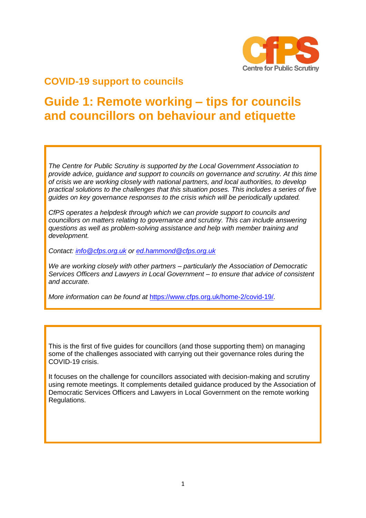

## **COVID-19 support to councils**

# **Guide 1: Remote working – tips for councils and councillors on behaviour and etiquette**

*The Centre for Public Scrutiny is supported by the Local Government Association to provide advice, guidance and support to councils on governance and scrutiny. At this time of crisis we are working closely with national partners, and local authorities, to develop practical solutions to the challenges that this situation poses. This includes a series of five guides on key governance responses to the crisis which will be periodically updated.*

*CfPS operates a helpdesk through which we can provide support to councils and councillors on matters relating to governance and scrutiny. This can include answering questions as well as problem-solving assistance and help with member training and development.* 

*Contact: [info@cfps.org.uk](mailto:info@cfps.org.uk) or [ed.hammond@cfps.org.uk](mailto:ed.hammond@cfps.org.uk)* 

*We are working closely with other partners – particularly the Association of Democratic Services Officers and Lawyers in Local Government – to ensure that advice of consistent and accurate.* 

*More information can be found at* <https://www.cfps.org.uk/home-2/covid-19/>*.* 

This is the first of five guides for councillors (and those supporting them) on managing some of the challenges associated with carrying out their governance roles during the COVID-19 crisis.

It focuses on the challenge for councillors associated with decision-making and scrutiny using remote meetings. It complements detailed guidance produced by the Association of Democratic Services Officers and Lawyers in Local Government on the remote working Regulations.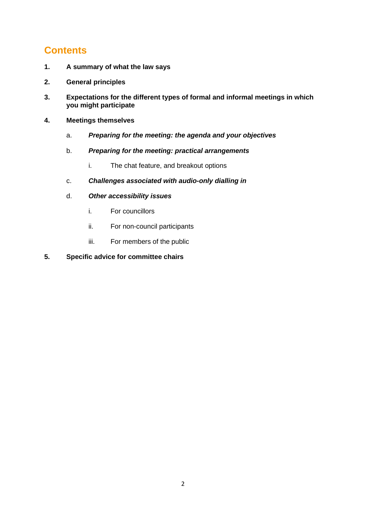## **Contents**

- **1. A summary of what the law says**
- **2. General principles**
- **3. Expectations for the different types of formal and informal meetings in which you might participate**
- **4. Meetings themselves**
	- a. *Preparing for the meeting: the agenda and your objectives*
	- b. *Preparing for the meeting: practical arrangements*
		- i. The chat feature, and breakout options
	- c. *Challenges associated with audio-only dialling in*
	- d. *Other accessibility issues*
		- i. For councillors
		- ii. For non-council participants
		- iii. For members of the public
- **5. Specific advice for committee chairs**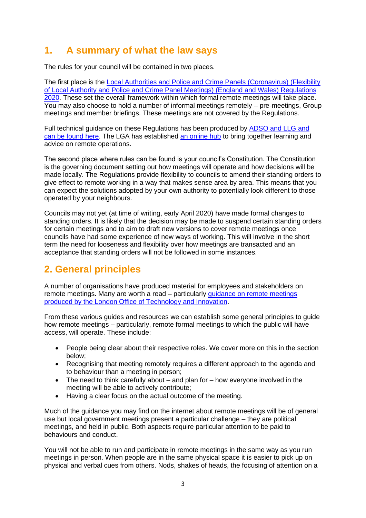### **1. A summary of what the law says**

The rules for your council will be contained in two places.

The first place is the [Local Authorities and Police and Crime Panels \(Coronavirus\) \(Flexibility](http://www.legislation.gov.uk/uksi/2020/392/contents/made)  [of Local Authority and Police and Crime Panel Meetings\) \(England and Wales\) Regulations](http://www.legislation.gov.uk/uksi/2020/392/contents/made)  [2020.](http://www.legislation.gov.uk/uksi/2020/392/contents/made) These set the overall framework within which formal remote meetings will take place. You may also choose to hold a number of informal meetings remotely – pre-meetings, Group meetings and member briefings. These meetings are not covered by the Regulations.

Full technical guidance on these Regulations has been produced by [ADSO and LLG and](https://www.adso.co.uk/updated-adso-and-llg-guidance-remote-meetings/)  [can be found here.](https://www.adso.co.uk/updated-adso-and-llg-guidance-remote-meetings/) The LGA has established [an online hub](https://www.local.gov.uk/our-support/guidance-and-resources/remote-council-meetings) to bring together learning and advice on remote operations.

The second place where rules can be found is your council's Constitution. The Constitution is the governing document setting out how meetings will operate and how decisions will be made locally. The Regulations provide flexibility to councils to amend their standing orders to give effect to remote working in a way that makes sense area by area. This means that you can expect the solutions adopted by your own authority to potentially look different to those operated by your neighbours.

Councils may not yet (at time of writing, early April 2020) have made formal changes to standing orders. It is likely that the decision may be made to suspend certain standing orders for certain meetings and to aim to draft new versions to cover remote meetings once councils have had some experience of new ways of working. This will involve in the short term the need for looseness and flexibility over how meetings are transacted and an acceptance that standing orders will not be followed in some instances.

## **2. General principles**

A number of organisations have produced material for employees and stakeholders on remote meetings. Many are worth a read – particularly [guidance on remote meetings](https://www.adso.co.uk/app/uploads/2020/04/How-to-hold-online-committee-meetings-that-are-accessible-to-the-public.pdf)  [produced by the London Office of Technology and Innovation.](https://www.adso.co.uk/app/uploads/2020/04/How-to-hold-online-committee-meetings-that-are-accessible-to-the-public.pdf)

From these various guides and resources we can establish some general principles to guide how remote meetings – particularly, remote formal meetings to which the public will have access, will operate. These include:

- People being clear about their respective roles. We cover more on this in the section below;
- Recognising that meeting remotely requires a different approach to the agenda and to behaviour than a meeting in person;
- The need to think carefully about and plan for how everyone involved in the meeting will be able to actively contribute;
- Having a clear focus on the actual outcome of the meeting.

Much of the guidance you may find on the internet about remote meetings will be of general use but local government meetings present a particular challenge – they are political meetings, and held in public. Both aspects require particular attention to be paid to behaviours and conduct.

You will not be able to run and participate in remote meetings in the same way as you run meetings in person. When people are in the same physical space it is easier to pick up on physical and verbal cues from others. Nods, shakes of heads, the focusing of attention on a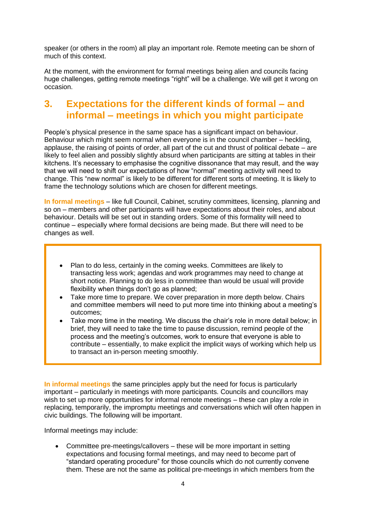speaker (or others in the room) all play an important role. Remote meeting can be shorn of much of this context.

At the moment, with the environment for formal meetings being alien and councils facing huge challenges, getting remote meetings "right" will be a challenge. We will get it wrong on occasion.

### **3. Expectations for the different kinds of formal – and informal – meetings in which you might participate**

People's physical presence in the same space has a significant impact on behaviour. Behaviour which might seem normal when everyone is in the council chamber – heckling, applause, the raising of points of order, all part of the cut and thrust of political debate – are likely to feel alien and possibly slightly absurd when participants are sitting at tables in their kitchens. It's necessary to emphasise the cognitive dissonance that may result, and the way that we will need to shift our expectations of how "normal" meeting activity will need to change. This "new normal" is likely to be different for different sorts of meeting. It is likely to frame the technology solutions which are chosen for different meetings.

**In formal meetings** – like full Council, Cabinet, scrutiny committees, licensing, planning and so on – members and other participants will have expectations about their roles, and about behaviour. Details will be set out in standing orders. Some of this formality will need to continue – especially where formal decisions are being made. But there will need to be changes as well.

- Plan to do less, certainly in the coming weeks. Committees are likely to transacting less work; agendas and work programmes may need to change at short notice. Planning to do less in committee than would be usual will provide flexibility when things don't go as planned;
- Take more time to prepare. We cover preparation in more depth below. Chairs and committee members will need to put more time into thinking about a meeting's outcomes;
- Take more time in the meeting. We discuss the chair's role in more detail below; in brief, they will need to take the time to pause discussion, remind people of the process and the meeting's outcomes, work to ensure that everyone is able to contribute – essentially, to make explicit the implicit ways of working which help us to transact an in-person meeting smoothly.

**In informal meetings** the same principles apply but the need for focus is particularly important – particularly in meetings with more participants. Councils and councillors may wish to set up more opportunities for informal remote meetings – these can play a role in replacing, temporarily, the impromptu meetings and conversations which will often happen in civic buildings. The following will be important.

Informal meetings may include:

• Committee pre-meetings/callovers – these will be more important in setting expectations and focusing formal meetings, and may need to become part of "standard operating procedure" for those councils which do not currently convene them. These are not the same as political pre-meetings in which members from the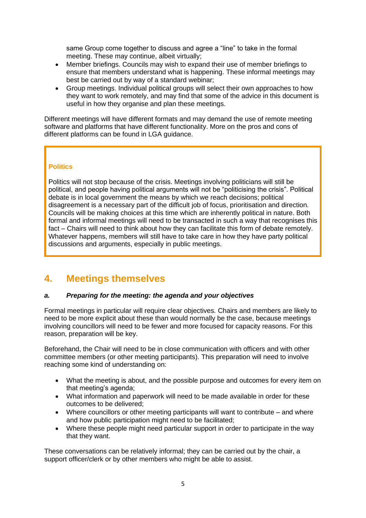same Group come together to discuss and agree a "line" to take in the formal meeting. These may continue, albeit virtually;

- Member briefings. Councils may wish to expand their use of member briefings to ensure that members understand what is happening. These informal meetings may best be carried out by way of a standard webinar;
- Group meetings. Individual political groups will select their own approaches to how they want to work remotely, and may find that some of the advice in this document is useful in how they organise and plan these meetings.

Different meetings will have different formats and may demand the use of remote meeting software and platforms that have different functionality. More on the pros and cons of different platforms can be found in LGA guidance.

#### **Politics**

Politics will not stop because of the crisis. Meetings involving politicians will still be political, and people having political arguments will not be "politicising the crisis". Political debate is in local government the means by which we reach decisions; political disagreement is a necessary part of the difficult job of focus, prioritisation and direction. Councils will be making choices at this time which are inherently political in nature. Both formal and informal meetings will need to be transacted in such a way that recognises this fact – Chairs will need to think about how they can facilitate this form of debate remotely. Whatever happens, members will still have to take care in how they have party political discussions and arguments, especially in public meetings.

### **4. Meetings themselves**

#### *a. Preparing for the meeting: the agenda and your objectives*

Formal meetings in particular will require clear objectives. Chairs and members are likely to need to be more explicit about these than would normally be the case, because meetings involving councillors will need to be fewer and more focused for capacity reasons. For this reason, preparation will be key.

Beforehand, the Chair will need to be in close communication with officers and with other committee members (or other meeting participants). This preparation will need to involve reaching some kind of understanding on:

- What the meeting is about, and the possible purpose and outcomes for every item on that meeting's agenda;
- What information and paperwork will need to be made available in order for these outcomes to be delivered;
- Where councillors or other meeting participants will want to contribute and where and how public participation might need to be facilitated;
- Where these people might need particular support in order to participate in the way that they want.

These conversations can be relatively informal; they can be carried out by the chair, a support officer/clerk or by other members who might be able to assist.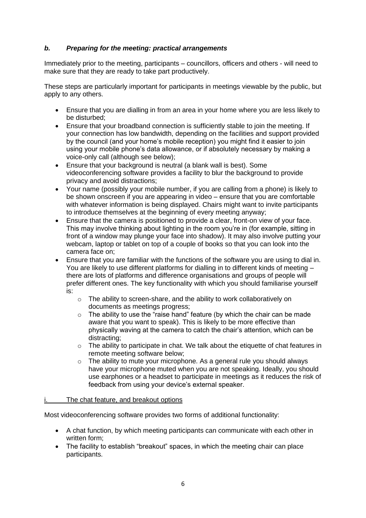#### *b. Preparing for the meeting: practical arrangements*

Immediately prior to the meeting, participants – councillors, officers and others - will need to make sure that they are ready to take part productively.

These steps are particularly important for participants in meetings viewable by the public, but apply to any others.

- Ensure that you are dialling in from an area in your home where you are less likely to be disturbed;
- Ensure that your broadband connection is sufficiently stable to join the meeting. If your connection has low bandwidth, depending on the facilities and support provided by the council (and your home's mobile reception) you might find it easier to join using your mobile phone's data allowance, or if absolutely necessary by making a voice-only call (although see below);
- Ensure that your background is neutral (a blank wall is best). Some videoconferencing software provides a facility to blur the background to provide privacy and avoid distractions;
- Your name (possibly your mobile number, if you are calling from a phone) is likely to be shown onscreen if you are appearing in video – ensure that you are comfortable with whatever information is being displayed. Chairs might want to invite participants to introduce themselves at the beginning of every meeting anyway;
- Ensure that the camera is positioned to provide a clear, front-on view of your face. This may involve thinking about lighting in the room you're in (for example, sitting in front of a window may plunge your face into shadow). It may also involve putting your webcam, laptop or tablet on top of a couple of books so that you can look into the camera face on;
- Ensure that you are familiar with the functions of the software you are using to dial in. You are likely to use different platforms for dialling in to different kinds of meeting – there are lots of platforms and difference organisations and groups of people will prefer different ones. The key functionality with which you should familiarise yourself is:
	- o The ability to screen-share, and the ability to work collaboratively on documents as meetings progress;
	- o The ability to use the "raise hand" feature (by which the chair can be made aware that you want to speak). This is likely to be more effective than physically waving at the camera to catch the chair's attention, which can be distracting;
	- $\circ$  The ability to participate in chat. We talk about the etiquette of chat features in remote meeting software below;
	- o The ability to mute your microphone. As a general rule you should always have your microphone muted when you are not speaking. Ideally, you should use earphones or a headset to participate in meetings as it reduces the risk of feedback from using your device's external speaker.

#### The chat feature, and breakout options

Most videoconferencing software provides two forms of additional functionality:

- A chat function, by which meeting participants can communicate with each other in written form;
- The facility to establish "breakout" spaces, in which the meeting chair can place participants.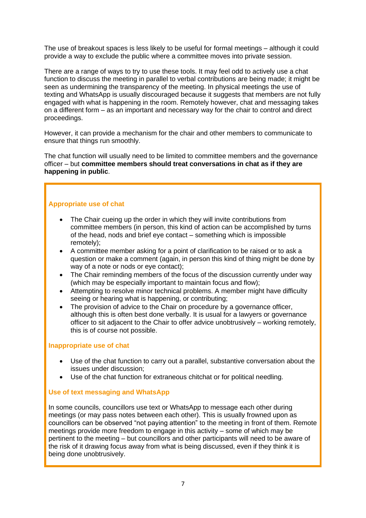The use of breakout spaces is less likely to be useful for formal meetings – although it could provide a way to exclude the public where a committee moves into private session.

There are a range of ways to try to use these tools. It may feel odd to actively use a chat function to discuss the meeting in parallel to verbal contributions are being made; it might be seen as undermining the transparency of the meeting. In physical meetings the use of texting and WhatsApp is usually discouraged because it suggests that members are not fully engaged with what is happening in the room. Remotely however, chat and messaging takes on a different form – as an important and necessary way for the chair to control and direct proceedings.

However, it can provide a mechanism for the chair and other members to communicate to ensure that things run smoothly.

The chat function will usually need to be limited to committee members and the governance officer – but **committee members should treat conversations in chat as if they are happening in public**.

#### **Appropriate use of chat**

- The Chair cueing up the order in which they will invite contributions from committee members (in person, this kind of action can be accomplished by turns of the head, nods and brief eye contact – something which is impossible remotely);
- A committee member asking for a point of clarification to be raised or to ask a question or make a comment (again, in person this kind of thing might be done by way of a note or nods or eye contact);
- The Chair reminding members of the focus of the discussion currently under way (which may be especially important to maintain focus and flow);
- Attempting to resolve minor technical problems. A member might have difficulty seeing or hearing what is happening, or contributing;
- The provision of advice to the Chair on procedure by a governance officer, although this is often best done verbally. It is usual for a lawyers or governance officer to sit adjacent to the Chair to offer advice unobtrusively – working remotely, this is of course not possible.

#### **Inappropriate use of chat**

- Use of the chat function to carry out a parallel, substantive conversation about the issues under discussion;
- Use of the chat function for extraneous chitchat or for political needling.

#### **Use of text messaging and WhatsApp**

In some councils, councillors use text or WhatsApp to message each other during meetings (or may pass notes between each other). This is usually frowned upon as councillors can be observed "not paying attention" to the meeting in front of them. Remote meetings provide more freedom to engage in this activity – some of which may be pertinent to the meeting – but councillors and other participants will need to be aware of the risk of it drawing focus away from what is being discussed, even if they think it is being done unobtrusively.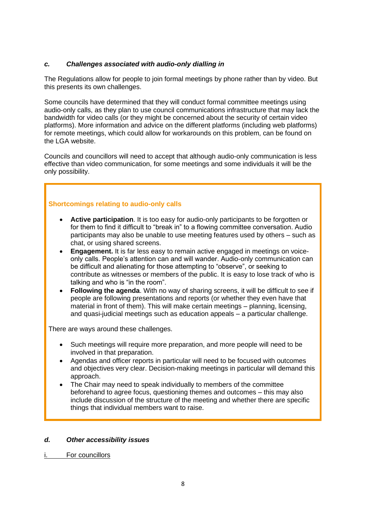### *c. Challenges associated with audio-only dialling in*

The Regulations allow for people to join formal meetings by phone rather than by video. But this presents its own challenges.

Some councils have determined that they will conduct formal committee meetings using audio-only calls, as they plan to use council communications infrastructure that may lack the bandwidth for video calls (or they might be concerned about the security of certain video platforms). More information and advice on the different platforms (including web platforms) for remote meetings, which could allow for workarounds on this problem, can be found on the LGA website.

Councils and councillors will need to accept that although audio-only communication is less effective than video communication, for some meetings and some individuals it will be the only possibility.

### **Shortcomings relating to audio-only calls**

- **Active participation**. It is too easy for audio-only participants to be forgotten or for them to find it difficult to "break in" to a flowing committee conversation. Audio participants may also be unable to use meeting features used by others – such as chat, or using shared screens.
- **Engagement.** It is far less easy to remain active engaged in meetings on voiceonly calls. People's attention can and will wander. Audio-only communication can be difficult and alienating for those attempting to "observe", or seeking to contribute as witnesses or members of the public. It is easy to lose track of who is talking and who is "in the room".
- **Following the agenda**. With no way of sharing screens, it will be difficult to see if people are following presentations and reports (or whether they even have that material in front of them). This will make certain meetings – planning, licensing, and quasi-judicial meetings such as education appeals – a particular challenge.

There are ways around these challenges.

- Such meetings will require more preparation, and more people will need to be involved in that preparation.
- Agendas and officer reports in particular will need to be focused with outcomes and objectives very clear. Decision-making meetings in particular will demand this approach.
- The Chair may need to speak individually to members of the committee beforehand to agree focus, questioning themes and outcomes – this may also include discussion of the structure of the meeting and whether there are specific things that individual members want to raise.

#### *d. Other accessibility issues*

For councillors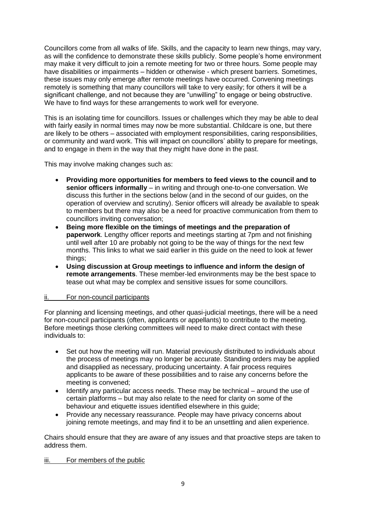Councillors come from all walks of life. Skills, and the capacity to learn new things, may vary, as will the confidence to demonstrate these skills publicly. Some people's home environment may make it very difficult to join a remote meeting for two or three hours. Some people may have disabilities or impairments – hidden or otherwise - which present barriers. Sometimes, these issues may only emerge after remote meetings have occurred. Convening meetings remotely is something that many councillors will take to very easily; for others it will be a significant challenge, and not because they are "unwilling" to engage or being obstructive. We have to find ways for these arrangements to work well for everyone.

This is an isolating time for councillors. Issues or challenges which they may be able to deal with fairly easily in normal times may now be more substantial. Childcare is one, but there are likely to be others – associated with employment responsibilities, caring responsibilities, or community and ward work. This will impact on councillors' ability to prepare for meetings, and to engage in them in the way that they might have done in the past.

This may involve making changes such as:

- **Providing more opportunities for members to feed views to the council and to senior officers informally** – in writing and through one-to-one conversation. We discuss this further in the sections below (and in the second of our guides, on the operation of overview and scrutiny). Senior officers will already be available to speak to members but there may also be a need for proactive communication from them to councillors inviting conversation;
- **Being more flexible on the timings of meetings and the preparation of paperwork**. Lengthy officer reports and meetings starting at 7pm and not finishing until well after 10 are probably not going to be the way of things for the next few months. This links to what we said earlier in this guide on the need to look at fewer things;
- **Using discussion at Group meetings to influence and inform the design of remote arrangements**. These member-led environments may be the best space to tease out what may be complex and sensitive issues for some councillors.

#### ii. For non-council participants

For planning and licensing meetings, and other quasi-judicial meetings, there will be a need for non-council participants (often, applicants or appellants) to contribute to the meeting. Before meetings those clerking committees will need to make direct contact with these individuals to:

- Set out how the meeting will run. Material previously distributed to individuals about the process of meetings may no longer be accurate. Standing orders may be applied and disapplied as necessary, producing uncertainty. A fair process requires applicants to be aware of these possibilities and to raise any concerns before the meeting is convened;
- Identify any particular access needs. These may be technical around the use of certain platforms – but may also relate to the need for clarity on some of the behaviour and etiquette issues identified elsewhere in this guide;
- Provide any necessary reassurance. People may have privacy concerns about joining remote meetings, and may find it to be an unsettling and alien experience.

Chairs should ensure that they are aware of any issues and that proactive steps are taken to address them.

iii. For members of the public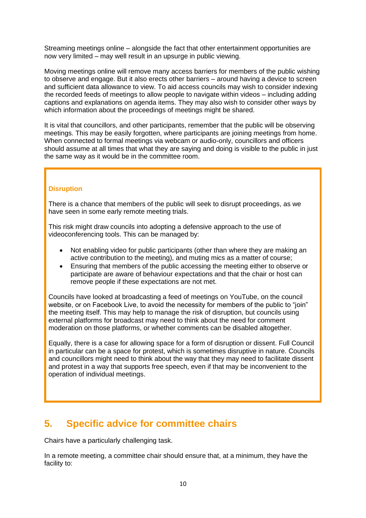Streaming meetings online – alongside the fact that other entertainment opportunities are now very limited – may well result in an upsurge in public viewing.

Moving meetings online will remove many access barriers for members of the public wishing to observe and engage. But it also erects other barriers – around having a device to screen and sufficient data allowance to view. To aid access councils may wish to consider indexing the recorded feeds of meetings to allow people to navigate within videos – including adding captions and explanations on agenda items. They may also wish to consider other ways by which information about the proceedings of meetings might be shared.

It is vital that councillors, and other participants, remember that the public will be observing meetings. This may be easily forgotten, where participants are joining meetings from home. When connected to formal meetings via webcam or audio-only, councillors and officers should assume at all times that what they are saying and doing is visible to the public in just the same way as it would be in the committee room.

#### **Disruption**

There is a chance that members of the public will seek to disrupt proceedings, as we have seen in some early remote meeting trials.

This risk might draw councils into adopting a defensive approach to the use of videoconferencing tools. This can be managed by:

- Not enabling video for public participants (other than where they are making an active contribution to the meeting), and muting mics as a matter of course;
- Ensuring that members of the public accessing the meeting either to observe or participate are aware of behaviour expectations and that the chair or host can remove people if these expectations are not met.

Councils have looked at broadcasting a feed of meetings on YouTube, on the council website, or on Facebook Live, to avoid the necessity for members of the public to "join" the meeting itself. This may help to manage the risk of disruption, but councils using external platforms for broadcast may need to think about the need for comment moderation on those platforms, or whether comments can be disabled altogether.

Equally, there is a case for allowing space for a form of disruption or dissent. Full Council in particular can be a space for protest, which is sometimes disruptive in nature. Councils and councillors might need to think about the way that they may need to facilitate dissent and protest in a way that supports free speech, even if that may be inconvenient to the operation of individual meetings.

### **5. Specific advice for committee chairs**

Chairs have a particularly challenging task.

In a remote meeting, a committee chair should ensure that, at a minimum, they have the facility to: